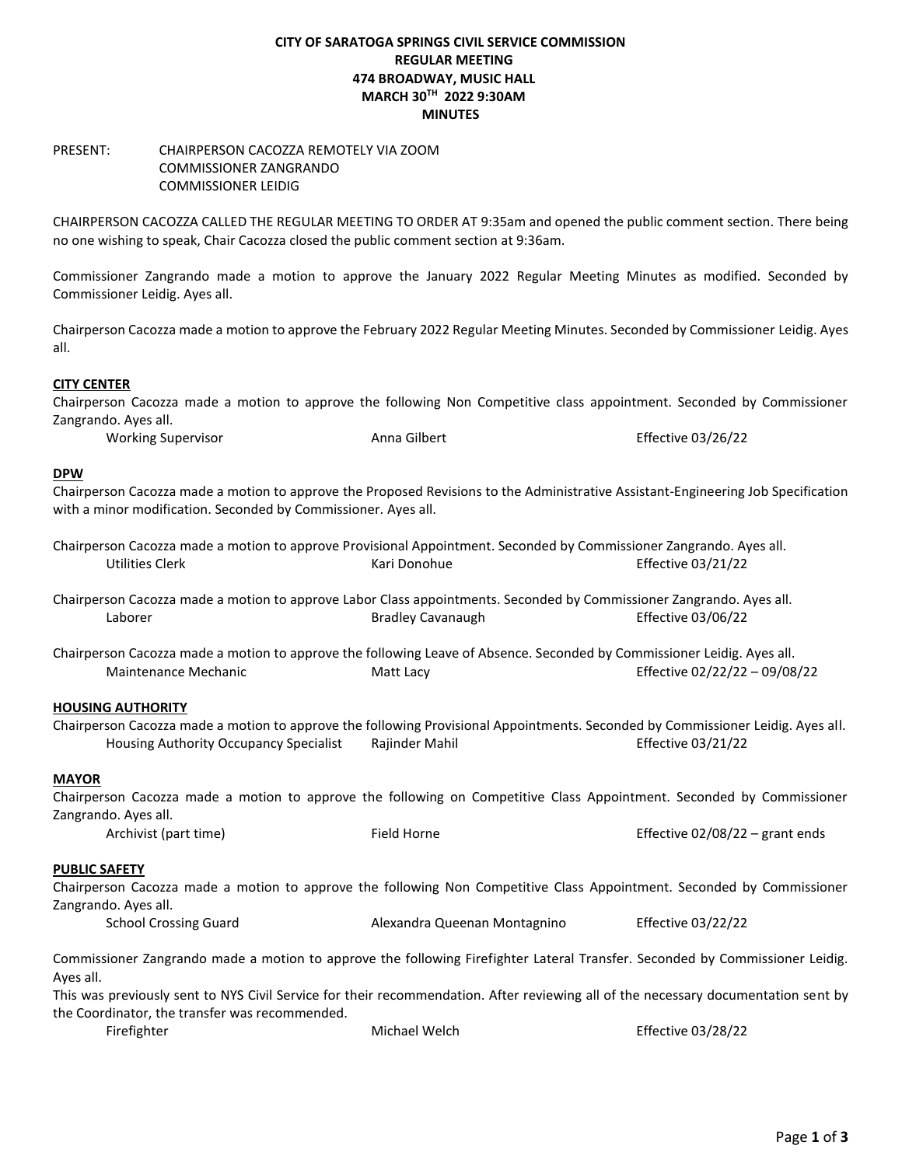# **CITY OF SARATOGA SPRINGS CIVIL SERVICE COMMISSION REGULAR MEETING 474 BROADWAY, MUSIC HALL MARCH 30TH 2022 9:30AM MINUTES**

## PRESENT: CHAIRPERSON CACOZZA REMOTELY VIA ZOOM COMMISSIONER ZANGRANDO COMMISSIONER LEIDIG

CHAIRPERSON CACOZZA CALLED THE REGULAR MEETING TO ORDER AT 9:35am and opened the public comment section. There being no one wishing to speak, Chair Cacozza closed the public comment section at 9:36am.

Commissioner Zangrando made a motion to approve the January 2022 Regular Meeting Minutes as modified. Seconded by Commissioner Leidig. Ayes all.

Chairperson Cacozza made a motion to approve the February 2022 Regular Meeting Minutes. Seconded by Commissioner Leidig. Ayes all.

# **CITY CENTER**

Chairperson Cacozza made a motion to approve the following Non Competitive class appointment. Seconded by Commissioner Zangrando. Ayes all.

Working Supervisor **Anna Gilbert** Anna Gilbert Effective 03/26/22

#### **DPW**

Chairperson Cacozza made a motion to approve the Proposed Revisions to the Administrative Assistant-Engineering Job Specification with a minor modification. Seconded by Commissioner. Ayes all.

|                 | Chairperson Cacozza made a motion to approve Provisional Appointment. Seconded by Commissioner Zangrando. Ayes all. |                    |
|-----------------|---------------------------------------------------------------------------------------------------------------------|--------------------|
| Utilities Clerk | Kari Donohue                                                                                                        | Effective 03/21/22 |

Chairperson Cacozza made a motion to approve Labor Class appointments. Seconded by Commissioner Zangrando. Ayes all. Laborer Bradley Cavanaugh Effective 03/06/22

Chairperson Cacozza made a motion to approve the following Leave of Absence. Seconded by Commissioner Leidig. Ayes all. Maintenance Mechanic **Matt Lacy** Matt Lacy **Matt Lacy** Effective 02/22/22 – 09/08/22

### **HOUSING AUTHORITY**

Chairperson Cacozza made a motion to approve the following Provisional Appointments. Seconded by Commissioner Leidig. Ayes all. Housing Authority Occupancy Specialist Rajinder Mahil **Example 2018** Effective 03/21/22

### **MAYOR**

Chairperson Cacozza made a motion to approve the following on Competitive Class Appointment. Seconded by Commissioner Zangrando. Ayes all.

Archivist (part time) Field Horne Effective 02/08/22 – grant ends

### **PUBLIC SAFETY**

Chairperson Cacozza made a motion to approve the following Non Competitive Class Appointment. Seconded by Commissioner Zangrando. Ayes all.

School Crossing Guard Alexandra Queenan Montagnino Effective 03/22/22

Commissioner Zangrando made a motion to approve the following Firefighter Lateral Transfer. Seconded by Commissioner Leidig. Ayes all.

This was previously sent to NYS Civil Service for their recommendation. After reviewing all of the necessary documentation sent by the Coordinator, the transfer was recommended.

| Firefighter | Michael Welch | Effective 03/28/22 |
|-------------|---------------|--------------------|
|-------------|---------------|--------------------|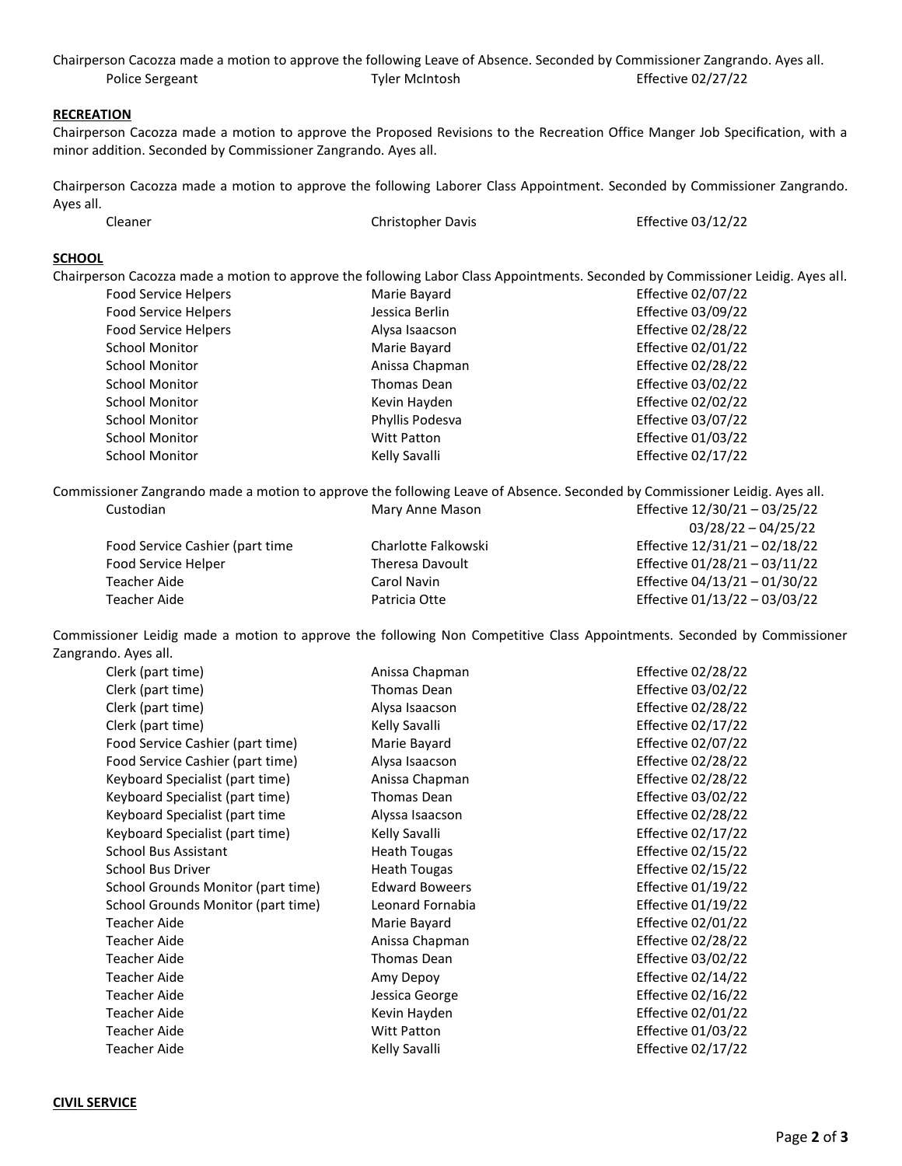|                 |                | Chairperson Cacozza made a motion to approve the following Leave of Absence. Seconded by Commissioner Zangrando. Ayes all. |
|-----------------|----------------|----------------------------------------------------------------------------------------------------------------------------|
| Police Sergeant | Tyler McIntosh | Effective 02/27/22                                                                                                         |

# **RECREATION**

Chairperson Cacozza made a motion to approve the Proposed Revisions to the Recreation Office Manger Job Specification, with a minor addition. Seconded by Commissioner Zangrando. Ayes all.

Chairperson Cacozza made a motion to approve the following Laborer Class Appointment. Seconded by Commissioner Zangrando. Ayes all.

| Cleaner | Christopher Davis | Effective 03/12/22 |
|---------|-------------------|--------------------|
|         |                   |                    |

## **SCHOOL**

Chairperson Cacozza made a motion to approve the following Labor Class Appointments. Seconded by Commissioner Leidig. Ayes all.

| <b>Food Service Helpers</b> | Marie Bayard       | <b>Effective 02/07/22</b> |
|-----------------------------|--------------------|---------------------------|
| Food Service Helpers        | Jessica Berlin     | <b>Effective 03/09/22</b> |
| <b>Food Service Helpers</b> | Alysa Isaacson     | Effective 02/28/22        |
| School Monitor              | Marie Bayard       | <b>Effective 02/01/22</b> |
| <b>School Monitor</b>       | Anissa Chapman     | <b>Effective 02/28/22</b> |
| School Monitor              | Thomas Dean        | Effective 03/02/22        |
| <b>School Monitor</b>       | Kevin Hayden       | <b>Effective 02/02/22</b> |
| <b>School Monitor</b>       | Phyllis Podesva    | <b>Effective 03/07/22</b> |
| <b>School Monitor</b>       | <b>Witt Patton</b> | Effective 01/03/22        |
| <b>School Monitor</b>       | Kelly Savalli      | <b>Effective 02/17/22</b> |

Commissioner Zangrando made a motion to approve the following Leave of Absence. Seconded by Commissioner Leidig. Ayes all. Custodian **Mary Anne Mason** Effective 12/30/21 – 03/25/22 03/28/22 – 04/25/22

|                                 |                     | $UJ / 20 / 22 = U + 2J / 22$  |
|---------------------------------|---------------------|-------------------------------|
| Food Service Cashier (part time | Charlotte Falkowski | Effective 12/31/21 - 02/18/22 |
| Food Service Helper             | Theresa Davoult     | Effective 01/28/21 - 03/11/22 |
| Teacher Aide                    | Carol Navin         | Effective 04/13/21 - 01/30/22 |
| Teacher Aide                    | Patricia Otte       | Effective 01/13/22 - 03/03/22 |

Commissioner Leidig made a motion to approve the following Non Competitive Class Appointments. Seconded by Commissioner Zangrando. Ayes all.

| Clerk (part time)                  | Anissa Chapman        | Effective 02/28/22   |
|------------------------------------|-----------------------|----------------------|
| Clerk (part time)                  | Thomas Dean           | Effective 03/02/22   |
| Clerk (part time)                  | Alysa Isaacson        | Effective 02/28/22   |
| Clerk (part time)                  | Kelly Savalli         | Effective 02/17/22   |
| Food Service Cashier (part time)   | Marie Bayard          | Effective 02/07/22   |
| Food Service Cashier (part time)   | Alysa Isaacson        | Effective 02/28/22   |
| Keyboard Specialist (part time)    | Anissa Chapman        | Effective 02/28/22   |
| Keyboard Specialist (part time)    | Thomas Dean           | Effective 03/02/22   |
| Keyboard Specialist (part time     | Alyssa Isaacson       | Effective 02/28/22   |
| Keyboard Specialist (part time)    | Kelly Savalli         | Effective 02/17/22   |
| <b>School Bus Assistant</b>        | <b>Heath Tougas</b>   | Effective 02/15/22   |
| School Bus Driver                  | <b>Heath Tougas</b>   | Effective 02/15/22   |
| School Grounds Monitor (part time) | <b>Edward Boweers</b> | Effective $01/19/22$ |
| School Grounds Monitor (part time) | Leonard Fornabia      | Effective $01/19/22$ |
| Teacher Aide                       | Marie Bayard          | Effective 02/01/22   |
| <b>Teacher Aide</b>                | Anissa Chapman        | Effective 02/28/22   |
| <b>Teacher Aide</b>                | Thomas Dean           | Effective 03/02/22   |
| <b>Teacher Aide</b>                | Amy Depoy             | Effective 02/14/22   |
| <b>Teacher Aide</b>                | Jessica George        | Effective 02/16/22   |
| <b>Teacher Aide</b>                | Kevin Hayden          | Effective 02/01/22   |
| <b>Teacher Aide</b>                | <b>Witt Patton</b>    | Effective 01/03/22   |
| <b>Teacher Aide</b>                | Kelly Savalli         | Effective 02/17/22   |
|                                    |                       |                      |